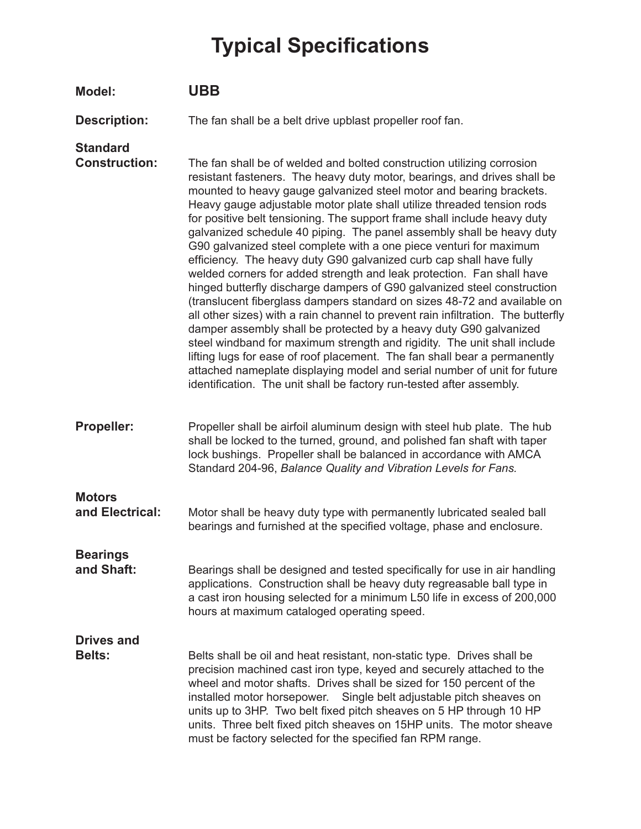## **Typical Specifications**

| Model:                                  | <b>UBB</b>                                                                                                                                                                                                                                                                                                                                                                                                                                                                                                                                                                                                                                                                                                                                                                                                                                                                                                                                                                                                                                                                                                                                                                                                                                                                                                  |
|-----------------------------------------|-------------------------------------------------------------------------------------------------------------------------------------------------------------------------------------------------------------------------------------------------------------------------------------------------------------------------------------------------------------------------------------------------------------------------------------------------------------------------------------------------------------------------------------------------------------------------------------------------------------------------------------------------------------------------------------------------------------------------------------------------------------------------------------------------------------------------------------------------------------------------------------------------------------------------------------------------------------------------------------------------------------------------------------------------------------------------------------------------------------------------------------------------------------------------------------------------------------------------------------------------------------------------------------------------------------|
| <b>Description:</b>                     | The fan shall be a belt drive upblast propeller roof fan.                                                                                                                                                                                                                                                                                                                                                                                                                                                                                                                                                                                                                                                                                                                                                                                                                                                                                                                                                                                                                                                                                                                                                                                                                                                   |
| <b>Standard</b><br><b>Construction:</b> | The fan shall be of welded and bolted construction utilizing corrosion<br>resistant fasteners. The heavy duty motor, bearings, and drives shall be<br>mounted to heavy gauge galvanized steel motor and bearing brackets.<br>Heavy gauge adjustable motor plate shall utilize threaded tension rods<br>for positive belt tensioning. The support frame shall include heavy duty<br>galvanized schedule 40 piping. The panel assembly shall be heavy duty<br>G90 galvanized steel complete with a one piece venturi for maximum<br>efficiency. The heavy duty G90 galvanized curb cap shall have fully<br>welded corners for added strength and leak protection. Fan shall have<br>hinged butterfly discharge dampers of G90 galvanized steel construction<br>(translucent fiberglass dampers standard on sizes 48-72 and available on<br>all other sizes) with a rain channel to prevent rain infiltration. The butterfly<br>damper assembly shall be protected by a heavy duty G90 galvanized<br>steel windband for maximum strength and rigidity. The unit shall include<br>lifting lugs for ease of roof placement. The fan shall bear a permanently<br>attached nameplate displaying model and serial number of unit for future<br>identification. The unit shall be factory run-tested after assembly. |
| <b>Propeller:</b>                       | Propeller shall be airfoil aluminum design with steel hub plate. The hub<br>shall be locked to the turned, ground, and polished fan shaft with taper<br>lock bushings. Propeller shall be balanced in accordance with AMCA<br>Standard 204-96, Balance Quality and Vibration Levels for Fans.                                                                                                                                                                                                                                                                                                                                                                                                                                                                                                                                                                                                                                                                                                                                                                                                                                                                                                                                                                                                               |
| <b>Motors</b><br>and Electrical:        | Motor shall be heavy duty type with permanently lubricated sealed ball<br>bearings and furnished at the specified voltage, phase and enclosure.                                                                                                                                                                                                                                                                                                                                                                                                                                                                                                                                                                                                                                                                                                                                                                                                                                                                                                                                                                                                                                                                                                                                                             |
| <b>Bearings</b><br>and Shaft:           | Bearings shall be designed and tested specifically for use in air handling<br>applications. Construction shall be heavy duty regreasable ball type in<br>a cast iron housing selected for a minimum L50 life in excess of 200,000<br>hours at maximum cataloged operating speed.                                                                                                                                                                                                                                                                                                                                                                                                                                                                                                                                                                                                                                                                                                                                                                                                                                                                                                                                                                                                                            |
| <b>Drives and</b><br><b>Belts:</b>      | Belts shall be oil and heat resistant, non-static type. Drives shall be<br>precision machined cast iron type, keyed and securely attached to the<br>wheel and motor shafts. Drives shall be sized for 150 percent of the<br>installed motor horsepower. Single belt adjustable pitch sheaves on<br>units up to 3HP. Two belt fixed pitch sheaves on 5 HP through 10 HP<br>units. Three belt fixed pitch sheaves on 15HP units. The motor sheave<br>must be factory selected for the specified fan RPM range.                                                                                                                                                                                                                                                                                                                                                                                                                                                                                                                                                                                                                                                                                                                                                                                                |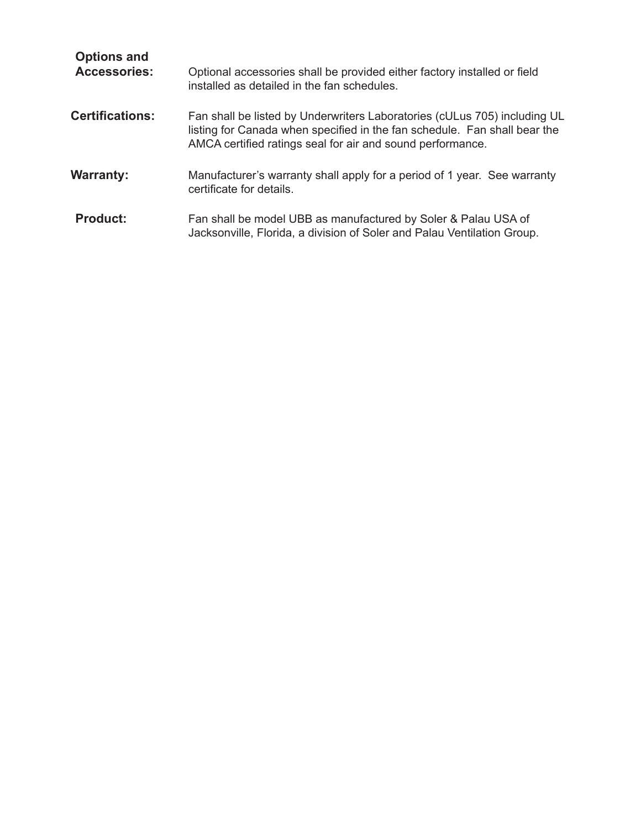| <b>Options and</b><br><b>Accessories:</b> | Optional accessories shall be provided either factory installed or field<br>installed as detailed in the fan schedules.                                                                                              |
|-------------------------------------------|----------------------------------------------------------------------------------------------------------------------------------------------------------------------------------------------------------------------|
| <b>Certifications:</b>                    | Fan shall be listed by Underwriters Laboratories (cULus 705) including UL<br>listing for Canada when specified in the fan schedule. Fan shall bear the<br>AMCA certified ratings seal for air and sound performance. |
| <b>Warranty:</b>                          | Manufacturer's warranty shall apply for a period of 1 year. See warranty<br>certificate for details.                                                                                                                 |
| <b>Product:</b>                           | Fan shall be model UBB as manufactured by Soler & Palau USA of<br>Jacksonville, Florida, a division of Soler and Palau Ventilation Group.                                                                            |